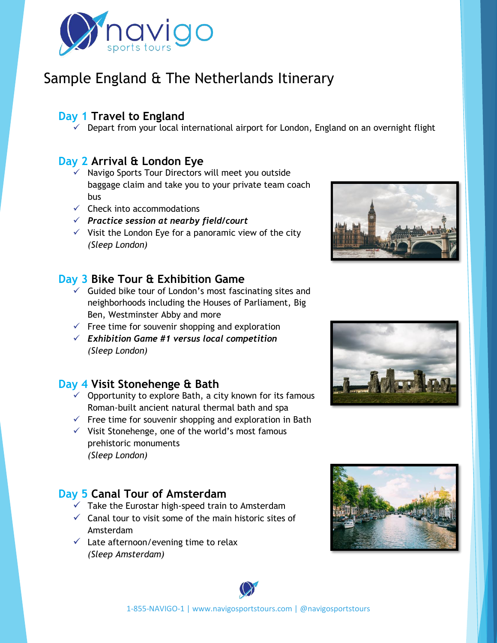

# Sample England & The Netherlands Itinerary

## **Day 1 Travel to England**

 $\checkmark$  Depart from your local international airport for London, England on an overnight flight

### **Day 2 Arrival & London Eye**

- ✓ Navigo Sports Tour Directors will meet you outside baggage claim and take you to your private team coach bus
- $\checkmark$  Check into accommodations
- ✓ *Practice session at nearby field/court*
- $\checkmark$  Visit the London Eye for a panoramic view of the city *(Sleep London)*

### **Day 3 Bike Tour & Exhibition Game**

- $\checkmark$  Guided bike tour of London's most fascinating sites and neighborhoods including the Houses of Parliament, Big Ben, Westminster Abby and more
- $\checkmark$  Free time for souvenir shopping and exploration
- ✓ *Exhibition Game #1 versus local competition (Sleep London)*

## **Day 4 Visit Stonehenge & Bath**

- $\checkmark$  Opportunity to explore Bath, a city known for its famous Roman-built ancient natural thermal bath and spa
- $\checkmark$  Free time for souvenir shopping and exploration in Bath
- $\checkmark$  Visit Stonehenge, one of the world's most famous prehistoric monuments *(Sleep London)*

## **Day 5 Canal Tour of Amsterdam**

- $\checkmark$  Take the Eurostar high-speed train to Amsterdam
- $\checkmark$  Canal tour to visit some of the main historic sites of Amsterdam
- $\checkmark$  Late afternoon/evening time to relax *(Sleep Amsterdam)*